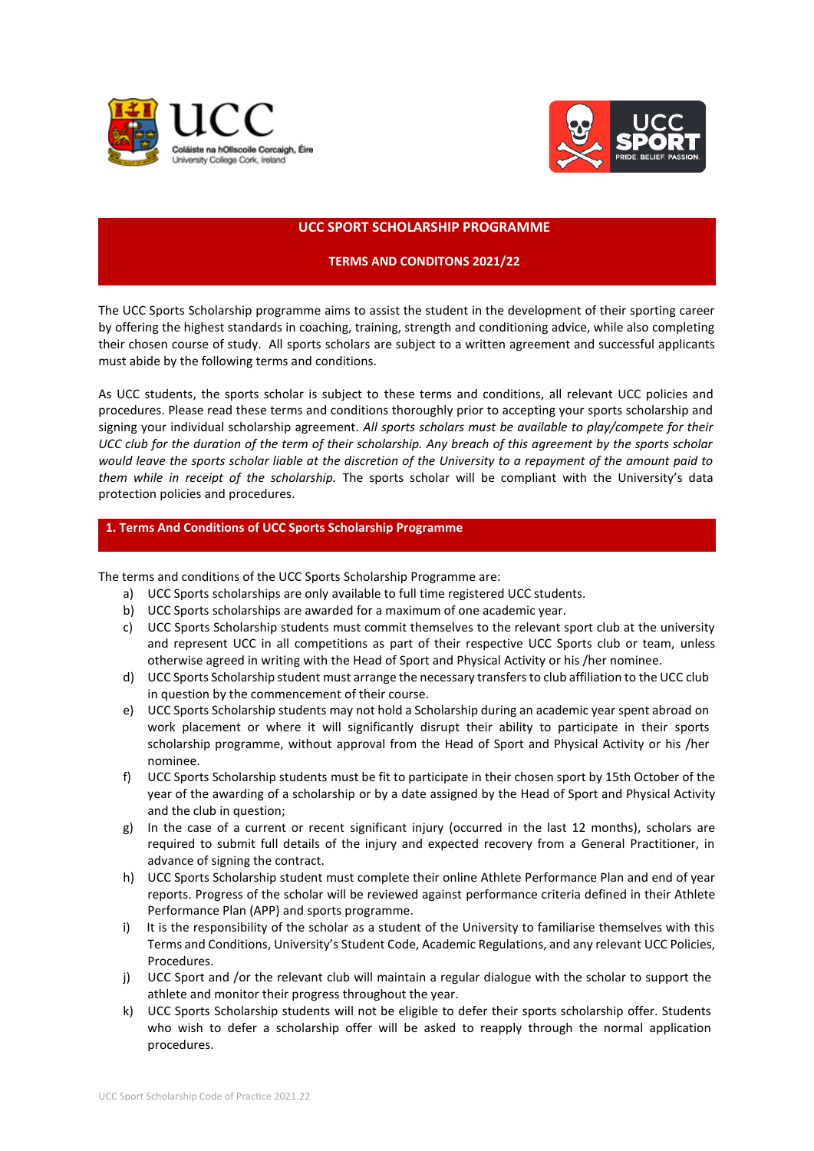



#### **UCC SPORT SCHOLARSHIP PROGRAMME**

### **TERMS AND CONDITONS 2021/22**

The UCC Sports Scholarship programme aims to assist the student in the development of their sporting career by offering the highest standards in coaching, training, strength and conditioning advice, while also completing their chosen course of study. All sports scholars are subject to a written agreement and successful applicants must abide by the following terms and conditions.

As UCC students, the sports scholar is subject to these terms and conditions, all relevant UCC policies and procedures. Please read these terms and conditions thoroughly prior to accepting your sports scholarship and signing your individual scholarship agreement. *All sports scholars must be available to play/compete for their UCC club for the duration of the term of their scholarship. Any breach of this agreement by the sports scholar would leave the sports scholar liable at the discretion of the University to a repayment of the amount paid to them while in receipt of the scholarship.* The sports scholar will be compliant with the University's data protection policies and procedures.

#### **1. Terms And Conditions of UCC Sports Scholarship Programme**

The terms and conditions of the UCC Sports Scholarship Programme are:

- a) UCC Sports scholarships are only available to full time registered UCC students.
- b) UCC Sports scholarships are awarded for a maximum of one academic year.
- c) UCC Sports Scholarship students must commit themselves to the relevant sport club at the university and represent UCC in all competitions as part of their respective UCC Sports club or team, unless otherwise agreed in writing with the Head of Sport and Physical Activity or his /her nominee.
- d) UCC Sports Scholarship student must arrange the necessary transfers to club affiliation to the UCC club in question by the commencement of their course.
- e) UCC Sports Scholarship students may not hold a Scholarship during an academic year spent abroad on work placement or where it will significantly disrupt their ability to participate in their sports scholarship programme, without approval from the Head of Sport and Physical Activity or his /her nominee.
- f) UCC Sports Scholarship students must be fit to participate in their chosen sport by 15th October of the year of the awarding of a scholarship or by a date assigned by the Head of Sport and Physical Activity and the club in question;
- g) In the case of a current or recent significant injury (occurred in the last 12 months), scholars are required to submit full details of the injury and expected recovery from a General Practitioner, in advance of signing the contract.
- h) UCC Sports Scholarship student must complete their online Athlete Performance Plan and end of year reports. Progress of the scholar will be reviewed against performance criteria defined in their Athlete Performance Plan (APP) and sports programme.
- i) It is the responsibility of the scholar as a student of the University to familiarise themselves with this Terms and Conditions, University's Student Code, Academic Regulations, and any relevant UCC Policies, Procedures.
- j) UCC Sport and /or the relevant club will maintain a regular dialogue with the scholar to support the athlete and monitor their progress throughout the year.
- k) UCC Sports Scholarship students will not be eligible to defer their sports scholarship offer. Students who wish to defer a scholarship offer will be asked to reapply through the normal application procedures.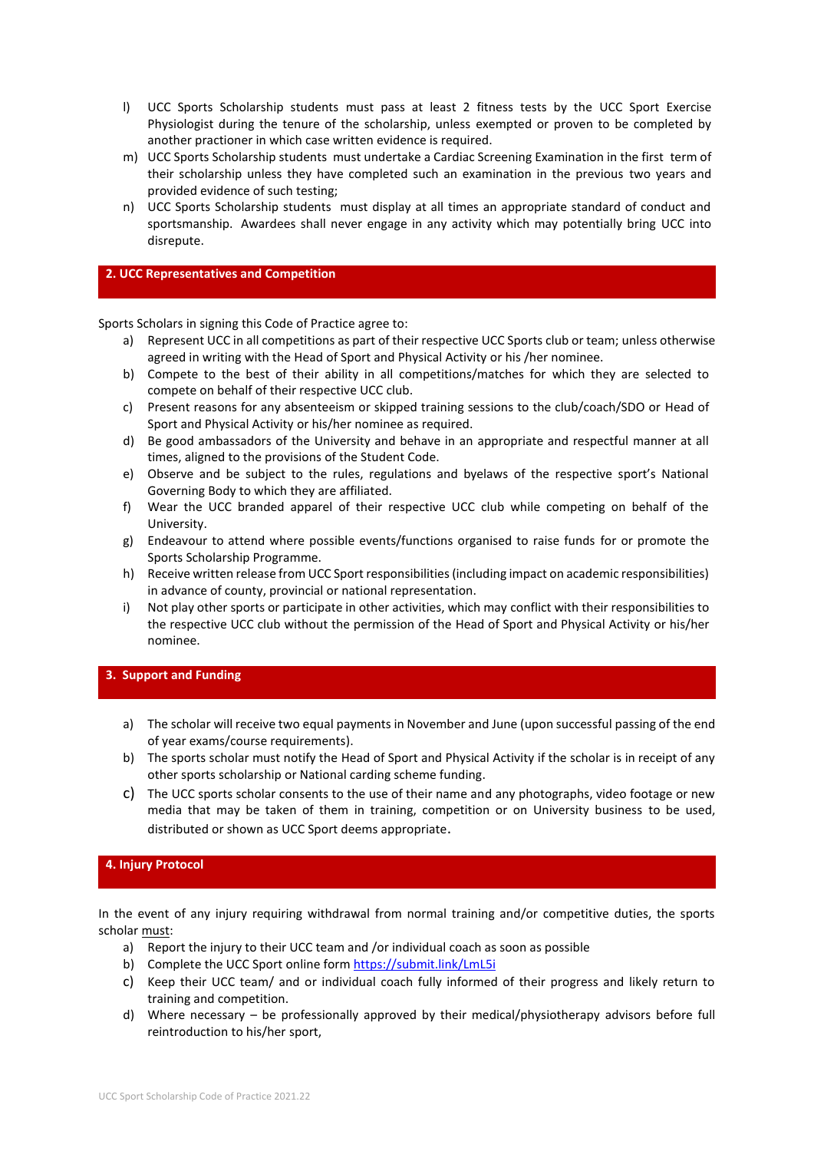- l) UCC Sports Scholarship students must pass at least 2 fitness tests by the UCC Sport Exercise Physiologist during the tenure of the scholarship, unless exempted or proven to be completed by another practioner in which case written evidence is required.
- m) UCC Sports Scholarship students must undertake a Cardiac Screening Examination in the first term of their scholarship unless they have completed such an examination in the previous two years and provided evidence of such testing;
- n) UCC Sports Scholarship students must display at all times an appropriate standard of conduct and sportsmanship. Awardees shall never engage in any activity which may potentially bring UCC into disrepute.

#### **2. UCC Representatives and Competition**

Sports Scholars in signing this Code of Practice agree to:

- a) Represent UCC in all competitions as part of their respective UCC Sports club or team; unless otherwise agreed in writing with the Head of Sport and Physical Activity or his /her nominee.
- b) Compete to the best of their ability in all competitions/matches for which they are selected to compete on behalf of their respective UCC club.
- c) Present reasons for any absenteeism or skipped training sessions to the club/coach/SDO or Head of Sport and Physical Activity or his/her nominee as required.
- d) Be good ambassadors of the University and behave in an appropriate and respectful manner at all times, aligned to the provisions of the Student Code.
- e) Observe and be subject to the rules, regulations and byelaws of the respective sport's National Governing Body to which they are affiliated.
- f) Wear the UCC branded apparel of their respective UCC club while competing on behalf of the University.
- g) Endeavour to attend where possible events/functions organised to raise funds for or promote the Sports Scholarship Programme.
- h) Receive written release from UCC Sport responsibilities (including impact on academic responsibilities) in advance of county, provincial or national representation.
- i) Not play other sports or participate in other activities, which may conflict with their responsibilities to the respective UCC club without the permission of the Head of Sport and Physical Activity or his/her nominee.

#### **3. Support and Funding**

- a) The scholar will receive two equal payments in November and June (upon successful passing of the end of year exams/course requirements).
- b) The sports scholar must notify the Head of Sport and Physical Activity if the scholar is in receipt of any other sports scholarship or National carding scheme funding.
- c) The UCC sports scholar consents to the use of their name and any photographs, video footage or new media that may be taken of them in training, competition or on University business to be used, distributed or shown as UCC Sport deems appropriate.

# **4. Injury Protocol**

In the event of any injury requiring withdrawal from normal training and/or competitive duties, the sports scholar must:

- a) Report the injury to their UCC team and /or individual coach as soon as possible
- b) Complete the UCC Sport online form<https://submit.link/LmL5i>
- c) Keep their UCC team/ and or individual coach fully informed of their progress and likely return to training and competition.
- d) Where necessary be professionally approved by their medical/physiotherapy advisors before full reintroduction to his/her sport,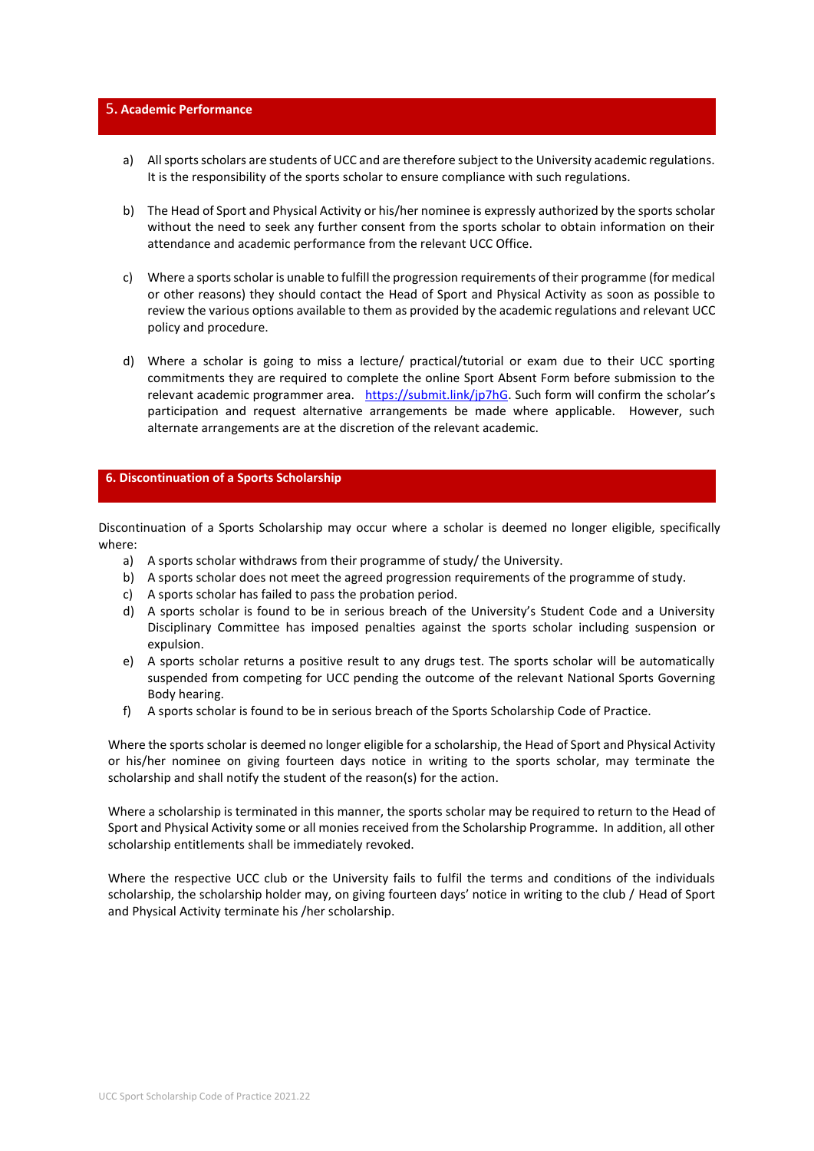### 5**. Academic Performance**

- a) All sports scholars are students of UCC and are therefore subject to the University academic regulations. It is the responsibility of the sports scholar to ensure compliance with such regulations.
- b) The Head of Sport and Physical Activity or his/her nominee is expressly authorized by the sports scholar without the need to seek any further consent from the sports scholar to obtain information on their attendance and academic performance from the relevant UCC Office.
- c) Where a sports scholar is unable to fulfill the progression requirements of their programme (for medical or other reasons) they should contact the Head of Sport and Physical Activity as soon as possible to review the various options available to them as provided by the academic regulations and relevant UCC policy and procedure.
- d) Where a scholar is going to miss a lecture/ practical/tutorial or exam due to their UCC sporting commitments they are required to complete the online Sport Absent Form before submission to the relevant academic programmer area. [https://submit.link/jp7hG.](https://submit.link/jp7hG) Such form will confirm the scholar's participation and request alternative arrangements be made where applicable. However, such alternate arrangements are at the discretion of the relevant academic.

#### **6. Discontinuation of a Sports Scholarship**

Discontinuation of a Sports Scholarship may occur where a scholar is deemed no longer eligible, specifically where:

- a) A sports scholar withdraws from their programme of study/ the University.
- b) A sports scholar does not meet the agreed progression requirements of the programme of study.
- c) A sports scholar has failed to pass the probation period.
- d) A sports scholar is found to be in serious breach of the University's Student Code and a University Disciplinary Committee has imposed penalties against the sports scholar including suspension or expulsion.
- e) A sports scholar returns a positive result to any drugs test. The sports scholar will be automatically suspended from competing for UCC pending the outcome of the relevant National Sports Governing Body hearing.
- f) A sports scholar is found to be in serious breach of the Sports Scholarship Code of Practice.

Where the sports scholar is deemed no longer eligible for a scholarship, the Head of Sport and Physical Activity or his/her nominee on giving fourteen days notice in writing to the sports scholar, may terminate the scholarship and shall notify the student of the reason(s) for the action.

Where a scholarship is terminated in this manner, the sports scholar may be required to return to the Head of Sport and Physical Activity some or all monies received from the Scholarship Programme. In addition, all other scholarship entitlements shall be immediately revoked.

Where the respective UCC club or the University fails to fulfil the terms and conditions of the individuals scholarship, the scholarship holder may, on giving fourteen days' notice in writing to the club / Head of Sport and Physical Activity terminate his /her scholarship.